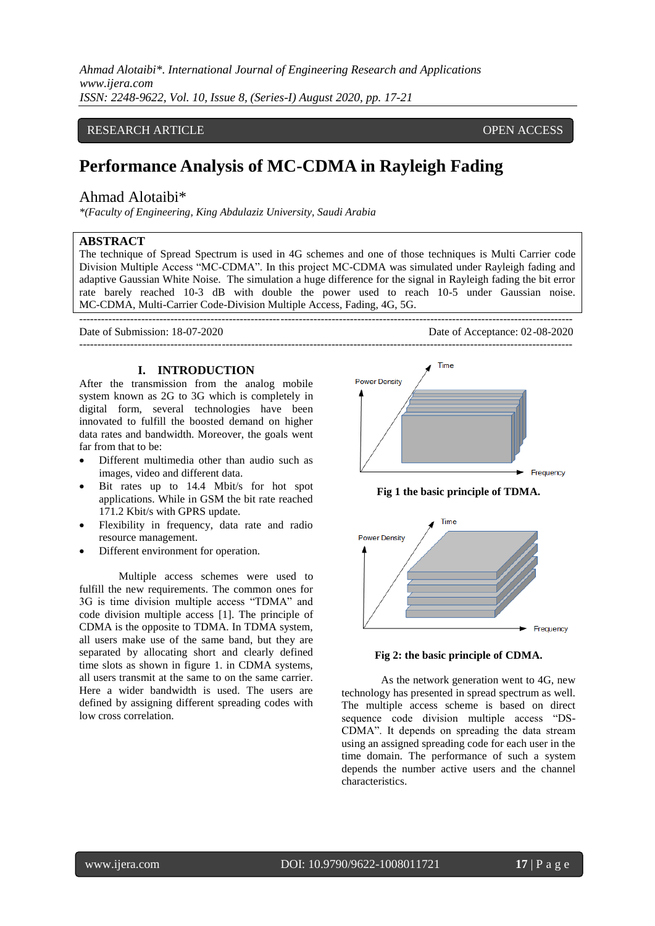# RESEARCH ARTICLE **CONTRACT ARTICLE** AND A SERVICE OPEN ACCESS

# **Performance Analysis of MC-CDMA in Rayleigh Fading**

# Ahmad Alotaibi\*

*\*(Faculty of Engineering, King Abdulaziz University, Saudi Arabia*

# **ABSTRACT**

The technique of Spread Spectrum is used in 4G schemes and one of those techniques is Multi Carrier code Division Multiple Access "MC-CDMA". In this project MC-CDMA was simulated under Rayleigh fading and adaptive Gaussian White Noise. The simulation a huge difference for the signal in Rayleigh fading the bit error rate barely reached 10-3 dB with double the power used to reach 10-5 under Gaussian noise. MC-CDMA, Multi-Carrier Code-Division Multiple Access, Fading, 4G, 5G.

---------------------------------------------------------------------------------------------------------------------------------------

---------------------------------------------------------------------------------------------------------------------------------------

Date of Submission: 18-07-2020 Date of Acceptance: 02-08-2020

# **I. INTRODUCTION**

After the transmission from the analog mobile system known as 2G to 3G which is completely in digital form, several technologies have been innovated to fulfill the boosted demand on higher data rates and bandwidth. Moreover, the goals went far from that to be:

- Different multimedia other than audio such as images, video and different data.
- Bit rates up to 14.4 Mbit/s for hot spot applications. While in GSM the bit rate reached 171.2 Kbit/s with GPRS update.
- Flexibility in frequency, data rate and radio resource management.
- Different environment for operation.

Multiple access schemes were used to fulfill the new requirements. The common ones for 3G is time division multiple access "TDMA" and code division multiple access [1]. The principle of CDMA is the opposite to TDMA. In TDMA system, all users make use of the same band, but they are separated by allocating short and clearly defined time slots as shown in figure 1. in CDMA systems, all users transmit at the same to on the same carrier. Here a wider bandwidth is used. The users are defined by assigning different spreading codes with low cross correlation.



**Fig 1 the basic principle of TDMA.**



**Fig 2: the basic principle of CDMA.**

As the network generation went to 4G, new technology has presented in spread spectrum as well. The multiple access scheme is based on direct sequence code division multiple access "DS-CDMA". It depends on spreading the data stream using an assigned spreading code for each user in the time domain. The performance of such a system depends the number active users and the channel characteristics.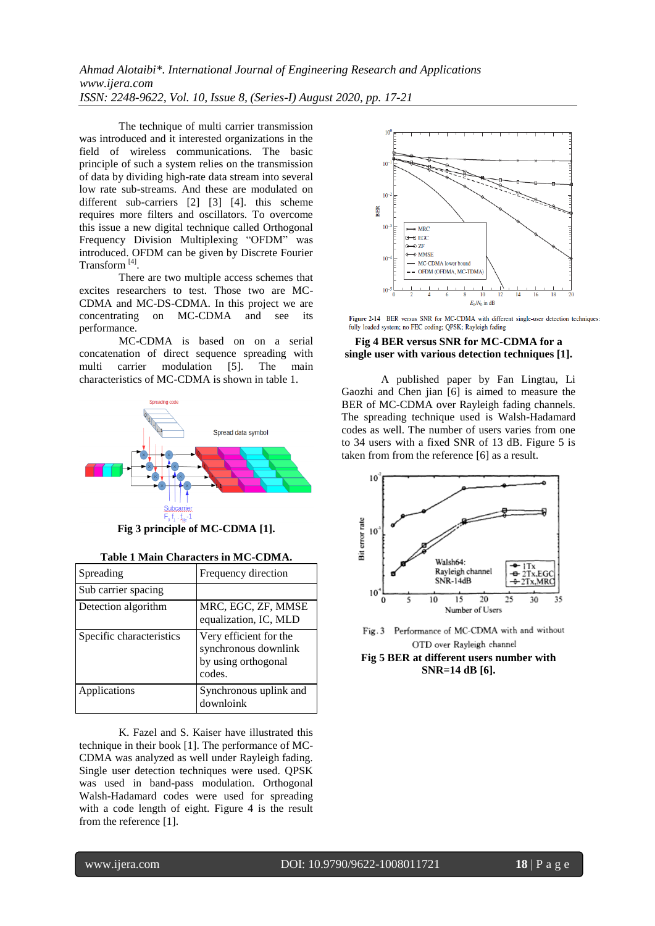The technique of multi carrier transmission was introduced and it interested organizations in the field of wireless communications. The basic principle of such a system relies on the transmission of data by dividing high-rate data stream into several low rate sub-streams. And these are modulated on different sub-carriers [2] [3] [4]. this scheme requires more filters and oscillators. To overcome this issue a new digital technique called Orthogonal Frequency Division Multiplexing "OFDM" was introduced. OFDM can be given by Discrete Fourier Transform<sup>[4]</sup>.

There are two multiple access schemes that excites researchers to test. Those two are MC-CDMA and MC-DS-CDMA. In this project we are concentrating on MC-CDMA and see its performance.

MC-CDMA is based on on a serial concatenation of direct sequence spreading with multi carrier modulation [5]. The main characteristics of MC-CDMA is shown in table 1.



**Fig 3 principle of MC-CDMA [1].**

|  |  | Table 1 Main Characters in MC-CDMA. |
|--|--|-------------------------------------|
|--|--|-------------------------------------|

| Spreading                | Frequency direction                                                             |  |
|--------------------------|---------------------------------------------------------------------------------|--|
| Sub carrier spacing      |                                                                                 |  |
| Detection algorithm      | MRC, EGC, ZF, MMSE<br>equalization, IC, MLD                                     |  |
| Specific characteristics | Very efficient for the<br>synchronous downlink<br>by using orthogonal<br>codes. |  |
| Applications             | Synchronous uplink and<br>downloink                                             |  |

K. Fazel and S. Kaiser have illustrated this technique in their book [1]. The performance of MC-CDMA was analyzed as well under Rayleigh fading. Single user detection techniques were used. QPSK was used in band-pass modulation. Orthogonal Walsh-Hadamard codes were used for spreading with a code length of eight. Figure 4 is the result from the reference [1].



Figure 2-14 BER versus SNR for MC-CDMA with different single-user detection techniques: fully loaded system; no FEC coding; QPSK; Rayleigh fading

## **Fig 4 BER versus SNR for MC-CDMA for a single user with various detection techniques [1].**

A published paper by Fan Lingtau, Li Gaozhi and Chen jian [6] is aimed to measure the BER of MC-CDMA over Rayleigh fading channels. The spreading technique used is Walsh-Hadamard codes as well. The number of users varies from one to 34 users with a fixed SNR of 13 dB. Figure 5 is taken from from the reference [6] as a result.



Fig. 3 Performance of MC-CDMA with and without OTD over Rayleigh channel

**Fig 5 BER at different users number with SNR=14 dB [6].**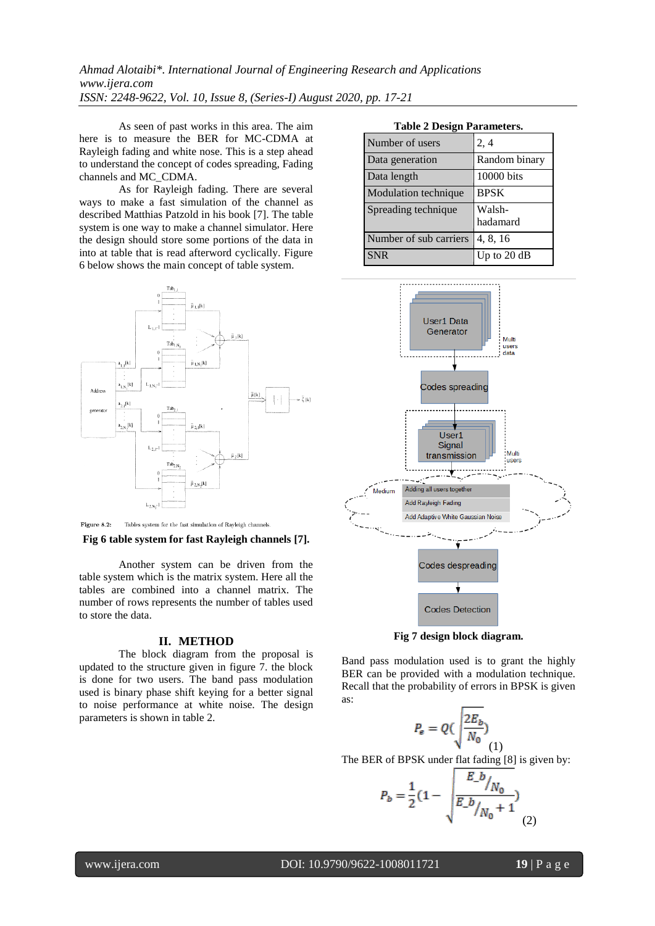As seen of past works in this area. The aim here is to measure the BER for MC-CDMA at Rayleigh fading and white nose. This is a step ahead to understand the concept of codes spreading, Fading channels and MC\_CDMA.

 As for Rayleigh fading. There are several ways to make a fast simulation of the channel as described Matthias Patzold in his book [7]. The table system is one way to make a channel simulator. Here the design should store some portions of the data in into at table that is read afterword cyclically. Figure 6 below shows the main concept of table system.



Tables system for the fast simulation of Rayleigh channels. Figure 8.2:

#### **Fig 6 table system for fast Rayleigh channels [7].**

Another system can be driven from the table system which is the matrix system. Here all the tables are combined into a channel matrix. The number of rows represents the number of tables used to store the data.

#### **II. METHOD**

The block diagram from the proposal is updated to the structure given in figure 7. the block is done for two users. The band pass modulation used is binary phase shift keying for a better signal to noise performance at white noise. The design parameters is shown in table 2.

**Table 2 Design Parameters.**

| Number of users        | 2, 4               |
|------------------------|--------------------|
| Data generation        | Random binary      |
| Data length            | 10000 bits         |
| Modulation technique   | <b>BPSK</b>        |
| Spreading technique    | Walsh-<br>hadamard |
| Number of sub carriers | 4, 8, 16           |
| <b>SNR</b>             | Up to 20 dB        |



**Fig 7 design block diagram.**

Band pass modulation used is to grant the highly BER can be provided with a modulation technique. Recall that the probability of errors in BPSK is given as:

$$
P_e = Q\left(\frac{2E_b}{N_0}\right)_{(1)}
$$

The BER of BPSK under flat fading [8] is given by:

$$
P_b = \frac{1}{2} (1 - \sqrt{\frac{E_b}{N_0}}) \sqrt{N_0 + 1}
$$
 (2)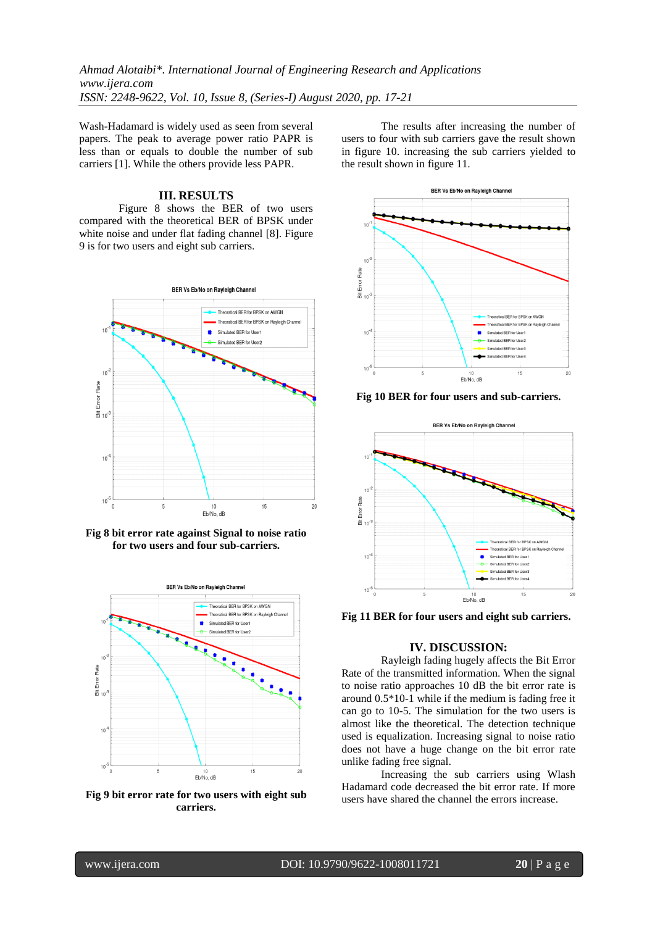Wash-Hadamard is widely used as seen from several papers. The peak to average power ratio PAPR is less than or equals to double the number of sub carriers [1]. While the others provide less PAPR.

### **III. RESULTS**

Figure 8 shows the BER of two users compared with the theoretical BER of BPSK under white noise and under flat fading channel [8]. Figure 9 is for two users and eight sub carriers.







**Fig 9 bit error rate for two users with eight sub carriers.**

The results after increasing the number of users to four with sub carriers gave the result shown in figure 10. increasing the sub carriers yielded to the result shown in figure 11.



**Fig 10 BER for four users and sub-carriers.**



**Fig 11 BER for four users and eight sub carriers.**

## **IV. DISCUSSION:**

Rayleigh fading hugely affects the Bit Error Rate of the transmitted information. When the signal to noise ratio approaches 10 dB the bit error rate is around 0.5\*10-1 while if the medium is fading free it can go to 10-5. The simulation for the two users is almost like the theoretical. The detection technique used is equalization. Increasing signal to noise ratio does not have a huge change on the bit error rate unlike fading free signal.

Increasing the sub carriers using Wlash Hadamard code decreased the bit error rate. If more users have shared the channel the errors increase.